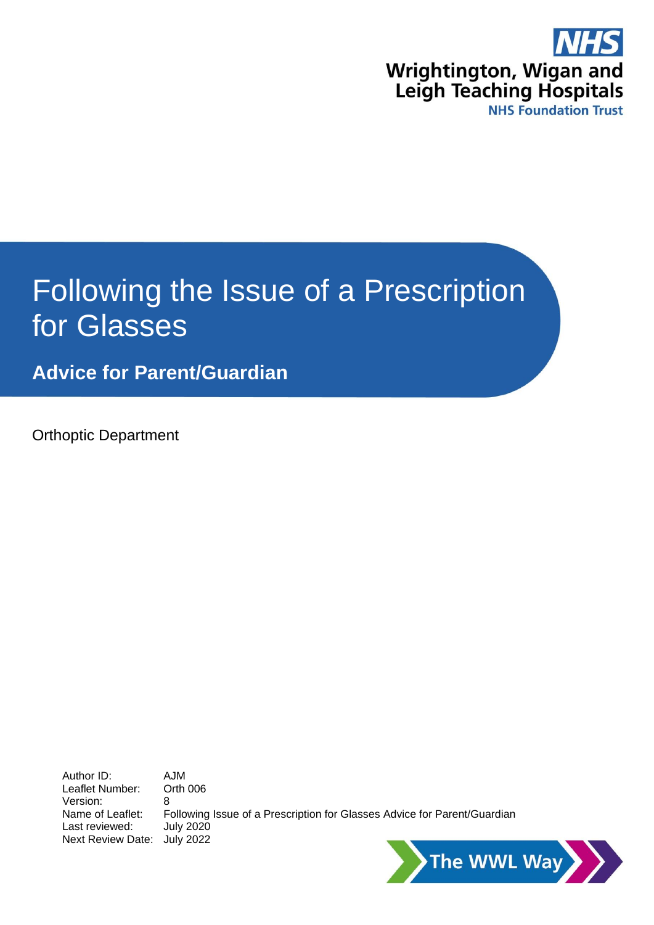

# Following the Issue of a Prescription for Glasses

**Advice for Parent/Guardian**

Orthoptic Department

Author ID: AJM<br>Leaflet Number: Orth 006 Leaflet Number: Version: 8 Name of Leaflet: Following Issue of a Prescription for Glasses Advice for Parent/Guardian Last reviewed: July 2020 Next Review Date: July 2022

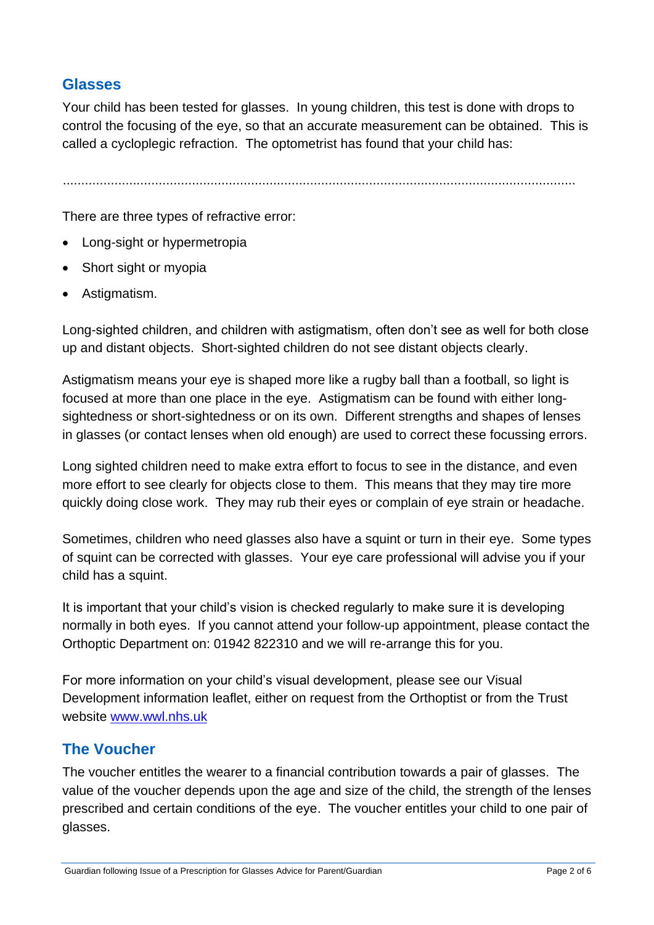#### **Glasses**

Your child has been tested for glasses. In young children, this test is done with drops to control the focusing of the eye, so that an accurate measurement can be obtained. This is called a cycloplegic refraction. The optometrist has found that your child has:

...........................................................................................................................................

There are three types of refractive error:

- Long-sight or hypermetropia
- Short sight or myopia
- Astigmatism.

Long-sighted children, and children with astigmatism, often don't see as well for both close up and distant objects. Short-sighted children do not see distant objects clearly.

Astigmatism means your eye is shaped more like a rugby ball than a football, so light is focused at more than one place in the eye. Astigmatism can be found with either longsightedness or short-sightedness or on its own. Different strengths and shapes of lenses in glasses (or contact lenses when old enough) are used to correct these focussing errors.

Long sighted children need to make extra effort to focus to see in the distance, and even more effort to see clearly for objects close to them. This means that they may tire more quickly doing close work. They may rub their eyes or complain of eye strain or headache.

Sometimes, children who need glasses also have a squint or turn in their eye. Some types of squint can be corrected with glasses. Your eye care professional will advise you if your child has a squint.

It is important that your child's vision is checked regularly to make sure it is developing normally in both eyes. If you cannot attend your follow-up appointment, please contact the Orthoptic Department on: 01942 822310 and we will re-arrange this for you.

For more information on your child's visual development, please see our Visual Development information leaflet, either on request from the Orthoptist or from the Trust website [www.wwl.nhs.uk](http://www.wwl.nhs.uk/)

#### **The Voucher**

The voucher entitles the wearer to a financial contribution towards a pair of glasses. The value of the voucher depends upon the age and size of the child, the strength of the lenses prescribed and certain conditions of the eye. The voucher entitles your child to one pair of glasses.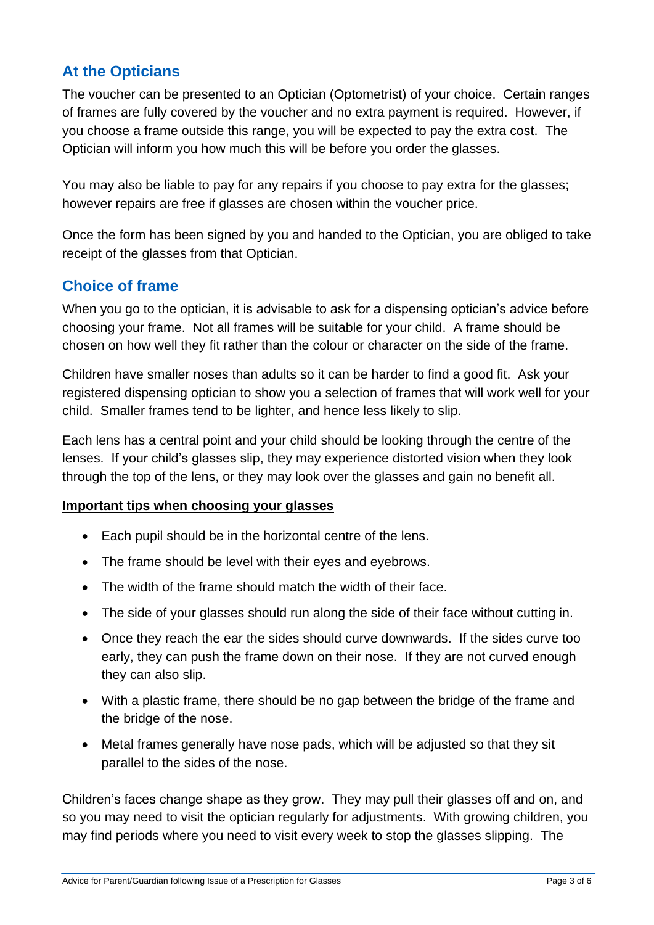# **At the Opticians**

The voucher can be presented to an Optician (Optometrist) of your choice. Certain ranges of frames are fully covered by the voucher and no extra payment is required. However, if you choose a frame outside this range, you will be expected to pay the extra cost. The Optician will inform you how much this will be before you order the glasses.

You may also be liable to pay for any repairs if you choose to pay extra for the glasses; however repairs are free if glasses are chosen within the voucher price.

Once the form has been signed by you and handed to the Optician, you are obliged to take receipt of the glasses from that Optician.

#### **Choice of frame**

When you go to the optician, it is advisable to ask for a dispensing optician's advice before choosing your frame. Not all frames will be suitable for your child. A frame should be chosen on how well they fit rather than the colour or character on the side of the frame.

Children have smaller noses than adults so it can be harder to find a good fit. Ask your registered dispensing optician to show you a selection of frames that will work well for your child. Smaller frames tend to be lighter, and hence less likely to slip.

Each lens has a central point and your child should be looking through the centre of the lenses. If your child's glasses slip, they may experience distorted vision when they look through the top of the lens, or they may look over the glasses and gain no benefit all.

#### **Important tips when choosing your glasses**

- Each pupil should be in the horizontal centre of the lens.
- The frame should be level with their eyes and eyebrows.
- The width of the frame should match the width of their face.
- The side of your glasses should run along the side of their face without cutting in.
- Once they reach the ear the sides should curve downwards. If the sides curve too early, they can push the frame down on their nose. If they are not curved enough they can also slip.
- With a plastic frame, there should be no gap between the bridge of the frame and the bridge of the nose.
- Metal frames generally have nose pads, which will be adjusted so that they sit parallel to the sides of the nose.

Children's faces change shape as they grow. They may pull their glasses off and on, and so you may need to visit the optician regularly for adjustments. With growing children, you may find periods where you need to visit every week to stop the glasses slipping. The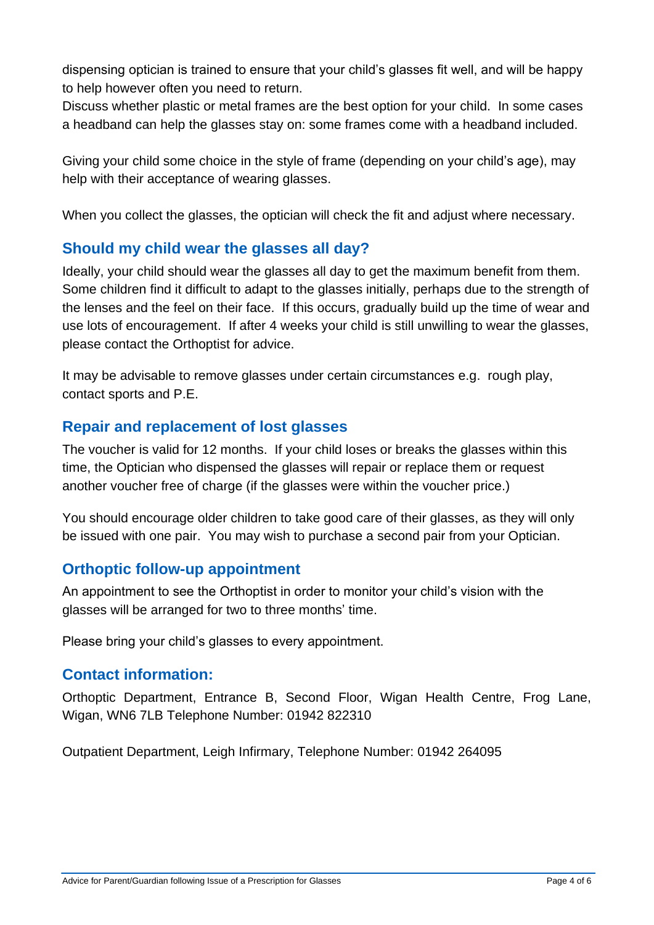dispensing optician is trained to ensure that your child's glasses fit well, and will be happy to help however often you need to return.

Discuss whether plastic or metal frames are the best option for your child. In some cases a headband can help the glasses stay on: some frames come with a headband included.

Giving your child some choice in the style of frame (depending on your child's age), may help with their acceptance of wearing glasses.

When you collect the glasses, the optician will check the fit and adjust where necessary.

## **Should my child wear the glasses all day?**

Ideally, your child should wear the glasses all day to get the maximum benefit from them. Some children find it difficult to adapt to the glasses initially, perhaps due to the strength of the lenses and the feel on their face. If this occurs, gradually build up the time of wear and use lots of encouragement. If after 4 weeks your child is still unwilling to wear the glasses, please contact the Orthoptist for advice.

It may be advisable to remove glasses under certain circumstances e.g. rough play, contact sports and P.E.

## **Repair and replacement of lost glasses**

The voucher is valid for 12 months. If your child loses or breaks the glasses within this time, the Optician who dispensed the glasses will repair or replace them or request another voucher free of charge (if the glasses were within the voucher price.)

You should encourage older children to take good care of their glasses, as they will only be issued with one pair. You may wish to purchase a second pair from your Optician.

#### **Orthoptic follow-up appointment**

An appointment to see the Orthoptist in order to monitor your child's vision with the glasses will be arranged for two to three months' time.

Please bring your child's glasses to every appointment.

#### **Contact information:**

Orthoptic Department, Entrance B, Second Floor, Wigan Health Centre, Frog Lane, Wigan, WN6 7LB Telephone Number: 01942 822310

Outpatient Department, Leigh Infirmary, Telephone Number: 01942 264095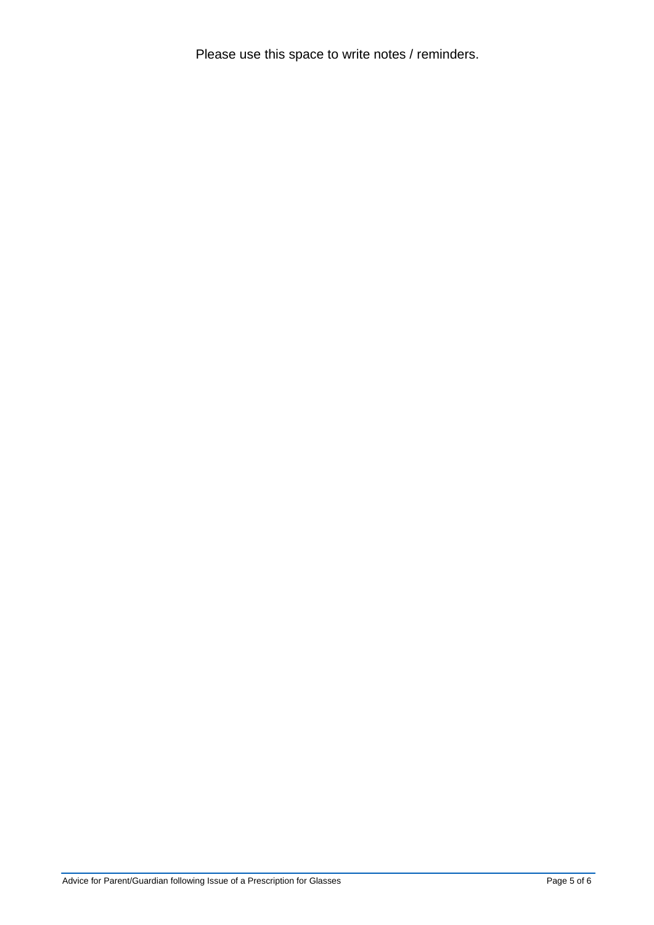Please use this space to write notes / reminders.